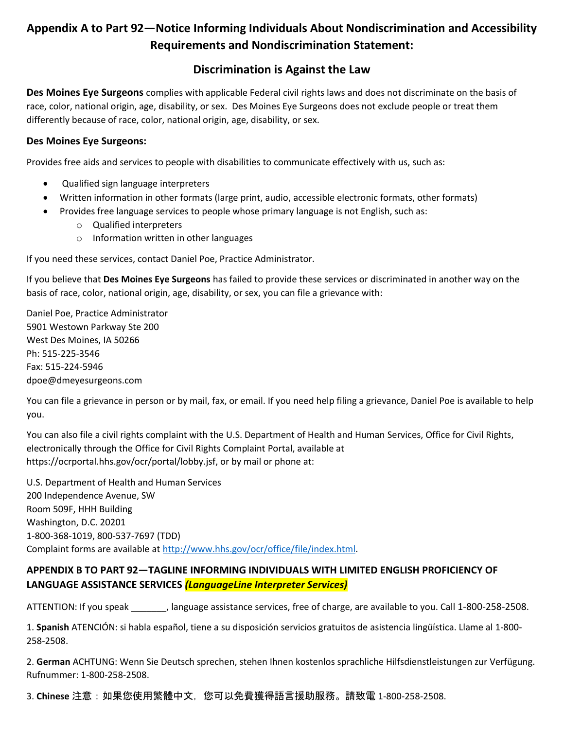## **Appendix A to Part 92—Notice Informing Individuals About Nondiscrimination and Accessibility Requirements and Nondiscrimination Statement:**

## **Discrimination is Against the Law**

**Des Moines Eye Surgeons** complies with applicable Federal civil rights laws and does not discriminate on the basis of race, color, national origin, age, disability, or sex. Des Moines Eye Surgeons does not exclude people or treat them differently because of race, color, national origin, age, disability, or sex.

## **Des Moines Eye Surgeons:**

Provides free aids and services to people with disabilities to communicate effectively with us, such as:

- Qualified sign language interpreters
- Written information in other formats (large print, audio, accessible electronic formats, other formats)
- Provides free language services to people whose primary language is not English, such as:
	- o Qualified interpreters
	- o Information written in other languages

If you need these services, contact Daniel Poe, Practice Administrator.

If you believe that **Des Moines Eye Surgeons** has failed to provide these services or discriminated in another way on the basis of race, color, national origin, age, disability, or sex, you can file a grievance with:

Daniel Poe, Practice Administrator 5901 Westown Parkway Ste 200 West Des Moines, IA 50266 Ph: 515-225-3546 Fax: 515-224-5946 dpoe@dmeyesurgeons.com

You can file a grievance in person or by mail, fax, or email. If you need help filing a grievance, Daniel Poe is available to help you.

You can also file a civil rights complaint with the U.S. Department of Health and Human Services, Office for Civil Rights, electronically through the Office for Civil Rights Complaint Portal, available at https://ocrportal.hhs.gov/ocr/portal/lobby.jsf, or by mail or phone at:

U.S. Department of Health and Human Services 200 Independence Avenue, SW Room 509F, HHH Building Washington, D.C. 20201 1-800-368-1019, 800-537-7697 (TDD) Complaint forms are available a[t http://www.hhs.gov/ocr/office/file/index.html.](http://www.hhs.gov/ocr/office/file/index.html)

## **APPENDIX B TO PART 92—TAGLINE INFORMING INDIVIDUALS WITH LIMITED ENGLISH PROFICIENCY OF LANGUAGE ASSISTANCE SERVICES** *(LanguageLine Interpreter Services)*

ATTENTION: If you speak \_\_\_\_\_\_\_, language assistance services, free of charge, are available to you. Call 1-800-258-2508.

1. **Spanish** ATENCIÓN: si habla español, tiene a su disposición servicios gratuitos de asistencia lingüística. Llame al 1-800- 258-2508.

2. **German** ACHTUNG: Wenn Sie Deutsch sprechen, stehen Ihnen kostenlos sprachliche Hilfsdienstleistungen zur Verfügung. Rufnummer: 1-800-258-2508.

3. **Chinese** 注意:如果您使用繁體中文,您可以免費獲得語言援助服務。請致電 1-800-258-2508.